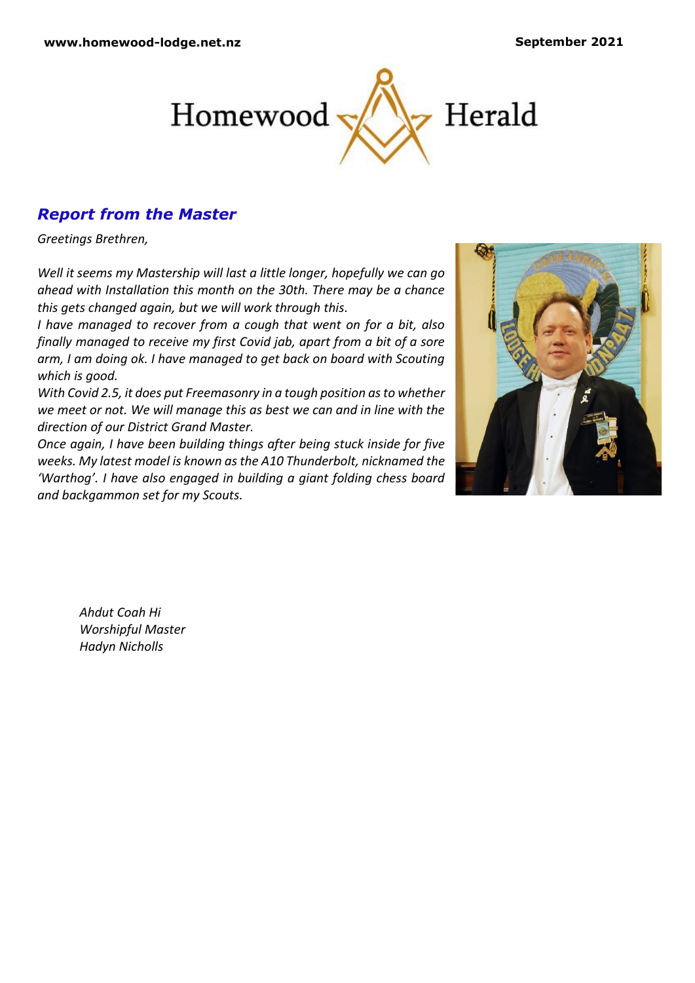

# *Report from the Master*

*Greetings Brethren,*

*Well it seems my Mastership will last a little longer, hopefully we can go ahead with Installation this month on the 30th. There may be a chance this gets changed again, but we will work through this.*

*I have managed to recover from a cough that went on for a bit, also finally managed to receive my first Covid jab, apart from a bit of a sore arm, I am doing ok. I have managed to get back on board with Scouting which is good.* 

*With Covid 2.5, it does put Freemasonry in a tough position as to whether we meet or not. We will manage this as best we can and in line with the direction of our District Grand Master.*

*Once again, I have been building things after being stuck inside for five weeks. My latest model is known as the A10 Thunderbolt, nicknamed the 'Warthog'. I have also engaged in building a giant folding chess board and backgammon set for my Scouts.* 



*Ahdut Coah Hi Worshipful Master Hadyn Nicholls*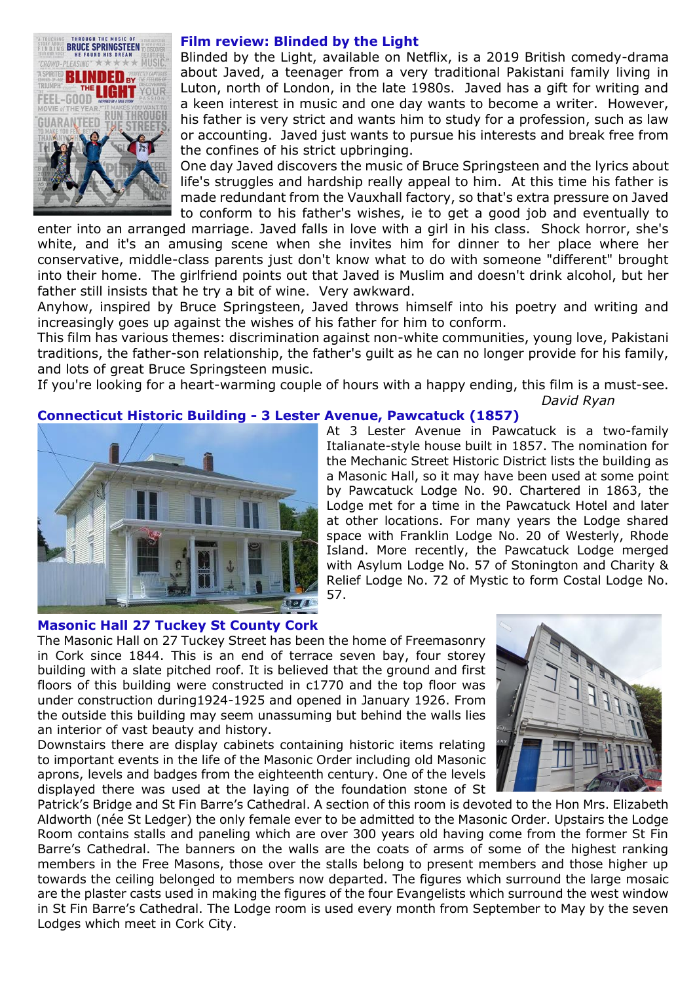

## **Film review: Blinded by the Light**

Blinded by the Light, available on Netflix, is a 2019 British comedy-drama about Javed, a teenager from a very traditional Pakistani family living in Luton, north of London, in the late 1980s. Javed has a gift for writing and a keen interest in music and one day wants to become a writer. However, his father is very strict and wants him to study for a profession, such as law or accounting. Javed just wants to pursue his interests and break free from the confines of his strict upbringing.

One day Javed discovers the music of Bruce Springsteen and the lyrics about life's struggles and hardship really appeal to him. At this time his father is made redundant from the Vauxhall factory, so that's extra pressure on Javed to conform to his father's wishes, ie to get a good job and eventually to

enter into an arranged marriage. Javed falls in love with a girl in his class. Shock horror, she's white, and it's an amusing scene when she invites him for dinner to her place where her conservative, middle-class parents just don't know what to do with someone "different" brought into their home. The girlfriend points out that Javed is Muslim and doesn't drink alcohol, but her father still insists that he try a bit of wine. Very awkward.

Anyhow, inspired by Bruce Springsteen, Javed throws himself into his poetry and writing and increasingly goes up against the wishes of his father for him to conform.

This film has various themes: discrimination against non-white communities, young love, Pakistani traditions, the father-son relationship, the father's guilt as he can no longer provide for his family, and lots of great Bruce Springsteen music.

If you're looking for a heart-warming couple of hours with a happy ending, this film is a must-see. *David Ryan*

## **Connecticut Historic Building - 3 Lester Avenue, Pawcatuck (1857)**



At 3 Lester Avenue in Pawcatuck is a two-family Italianate-style house built in 1857. The nomination for the Mechanic Street Historic District lists the building as a Masonic Hall, so it may have been used at some point by Pawcatuck Lodge No. 90. Chartered in 1863, the Lodge met for a time in the Pawcatuck Hotel and later at other locations. For many years the Lodge shared space with Franklin Lodge No. 20 of Westerly, Rhode Island. More recently, the Pawcatuck Lodge merged with Asylum Lodge No. 57 of Stonington and Charity & Relief Lodge No. 72 of Mystic to form Costal Lodge No. 57.

## **Masonic Hall 27 Tuckey St County Cork**

The Masonic Hall on 27 Tuckey Street has been the home of Freemasonry in Cork since 1844. This is an end of terrace seven bay, four storey building with a slate pitched roof. It is believed that the ground and first floors of this building were constructed in c1770 and the top floor was under construction during1924-1925 and opened in January 1926. From the outside this building may seem unassuming but behind the walls lies an interior of vast beauty and history.

Downstairs there are display cabinets containing historic items relating to important events in the life of the Masonic Order including old Masonic aprons, levels and badges from the eighteenth century. One of the levels displayed there was used at the laying of the foundation stone of St



Patrick's Bridge and St Fin Barre's Cathedral. A section of this room is devoted to the Hon Mrs. Elizabeth Aldworth (née St Ledger) the only female ever to be admitted to the Masonic Order. Upstairs the Lodge Room contains stalls and paneling which are over 300 years old having come from the former St Fin Barre's Cathedral. The banners on the walls are the coats of arms of some of the highest ranking members in the Free Masons, those over the stalls belong to present members and those higher up towards the ceiling belonged to members now departed. The figures which surround the large mosaic are the plaster casts used in making the figures of the four Evangelists which surround the west window in St Fin Barre's Cathedral. The Lodge room is used every month from September to May by the seven Lodges which meet in Cork City.